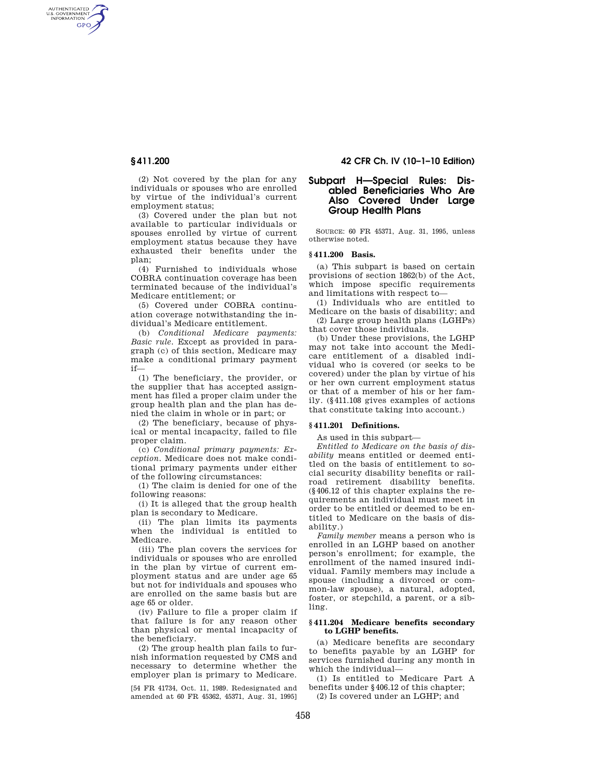AUTHENTICATED<br>U.S. GOVERNMENT<br>INFORMATION GPO

> (2) Not covered by the plan for any individuals or spouses who are enrolled by virtue of the individual's current employment status;

> (3) Covered under the plan but not available to particular individuals or spouses enrolled by virtue of current employment status because they have exhausted their benefits under the plan;

> (4) Furnished to individuals whose COBRA continuation coverage has been terminated because of the individual's Medicare entitlement; or

> (5) Covered under COBRA continuation coverage notwithstanding the individual's Medicare entitlement.

> (b) *Conditional Medicare payments: Basic rule.* Except as provided in paragraph (c) of this section, Medicare may make a conditional primary payment if—

> (1) The beneficiary, the provider, or the supplier that has accepted assignment has filed a proper claim under the group health plan and the plan has denied the claim in whole or in part; or

> (2) The beneficiary, because of physical or mental incapacity, failed to file proper claim.

> (c) *Conditional primary payments: Exception.* Medicare does not make conditional primary payments under either of the following circumstances:

> (1) The claim is denied for one of the following reasons:

> (i) It is alleged that the group health plan is secondary to Medicare.

(ii) The plan limits its payments when the individual is entitled to Medicare.

(iii) The plan covers the services for individuals or spouses who are enrolled in the plan by virtue of current employment status and are under age 65 but not for individuals and spouses who are enrolled on the same basis but are age 65 or older.

(iv) Failure to file a proper claim if that failure is for any reason other than physical or mental incapacity of the beneficiary.

(2) The group health plan fails to furnish information requested by CMS and necessary to determine whether the employer plan is primary to Medicare.

[54 FR 41734, Oct. 11, 1989. Redesignated and amended at 60 FR 45362, 45371, Aug. 31, 1995]

## **§ 411.200 42 CFR Ch. IV (10–1–10 Edition)**

# **Subpart H—Special Rules: Disabled Beneficiaries Who Are Also Covered Under Large Group Health Plans**

SOURCE: 60 FR 45371, Aug. 31, 1995, unless otherwise noted.

#### **§ 411.200 Basis.**

(a) This subpart is based on certain provisions of section 1862(b) of the Act, which impose specific requirements and limitations with respect to—

(1) Individuals who are entitled to Medicare on the basis of disability; and (2) Large group health plans (LGHPs)

that cover those individuals.

(b) Under these provisions, the LGHP may not take into account the Medicare entitlement of a disabled individual who is covered (or seeks to be covered) under the plan by virtue of his or her own current employment status or that of a member of his or her family. (§411.108 gives examples of actions that constitute taking into account.)

### **§ 411.201 Definitions.**

As used in this subpart—

*Entitled to Medicare on the basis of disability* means entitled or deemed entitled on the basis of entitlement to social security disability benefits or railroad retirement disability benefits. (§406.12 of this chapter explains the requirements an individual must meet in order to be entitled or deemed to be entitled to Medicare on the basis of disability.)

*Family member* means a person who is enrolled in an LGHP based on another person's enrollment; for example, the enrollment of the named insured individual. Family members may include a spouse (including a divorced or common-law spouse), a natural, adopted, foster, or stepchild, a parent, or a sibling.

### **§ 411.204 Medicare benefits secondary to LGHP benefits.**

(a) Medicare benefits are secondary to benefits payable by an LGHP for services furnished during any month in which the individual—

(1) Is entitled to Medicare Part A benefits under §406.12 of this chapter;

(2) Is covered under an LGHP; and